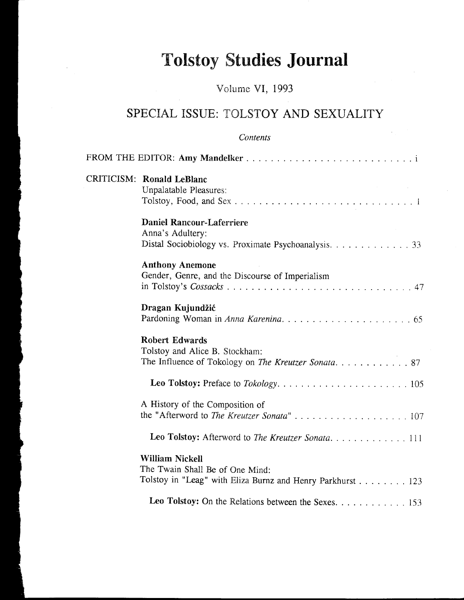## **Tolstoy Studies Journal**

## Volume VI, 1993

## SPECIAL ISSUE: TOLSTOY AND SEXUALITY

## Contents

| <b>CRITICISM: Ronald LeBlanc</b><br>Unpalatable Pleasures:                                                              |
|-------------------------------------------------------------------------------------------------------------------------|
| <b>Daniel Rancour-Laferriere</b><br>Anna's Adultery:<br>Distal Sociobiology vs. Proximate Psychoanalysis. 33            |
| <b>Anthony Anemone</b><br>Gender, Genre, and the Discourse of Imperialism                                               |
| Dragan Kujundžić                                                                                                        |
| <b>Robert Edwards</b><br>Tolstoy and Alice B. Stockham:                                                                 |
|                                                                                                                         |
| A History of the Composition of                                                                                         |
| Leo Tolstoy: Afterword to The Kreutzer Sonata111                                                                        |
| <b>William Nickell</b><br>The Twain Shall Be of One Mind:<br>Tolstoy in "Leag" with Eliza Burnz and Henry Parkhurst 123 |
| Leo Tolstoy: On the Relations between the Sexes. 153                                                                    |